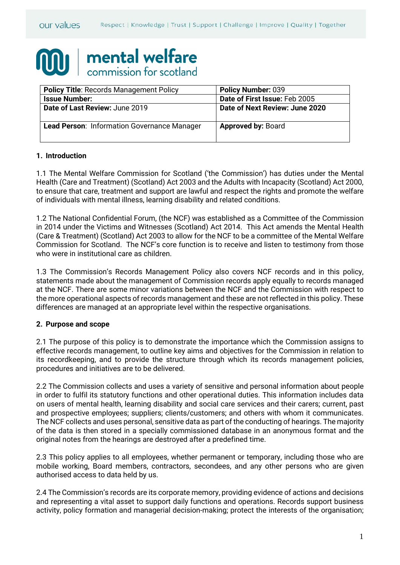# mental welfare commission for scotland

| <b>Policy Title: Records Management Policy</b> | <b>Policy Number: 039</b>      |
|------------------------------------------------|--------------------------------|
| <b>Issue Number:</b>                           | Date of First Issue: Feb 2005  |
| Date of Last Review: June 2019                 | Date of Next Review: June 2020 |
| Lead Person: Information Governance Manager    | <b>Approved by: Board</b>      |

#### **1. Introduction**

1.1 The Mental Welfare Commission for Scotland ('the Commission') has duties under the Mental Health (Care and Treatment) (Scotland) Act 2003 and the Adults with Incapacity (Scotland) Act 2000, to ensure that care, treatment and support are lawful and respect the rights and promote the welfare of individuals with mental illness, learning disability and related conditions.

1.2 The National Confidential Forum, (the NCF) was established as a Committee of the Commission in 2014 under the Victims and Witnesses (Scotland) Act 2014. This Act amends the Mental Health (Care & Treatment) (Scotland) Act 2003 to allow for the NCF to be a committee of the Mental Welfare Commission for Scotland. The NCF's core function is to receive and listen to testimony from those who were in institutional care as children.

1.3 The Commission's Records Management Policy also covers NCF records and in this policy, statements made about the management of Commission records apply equally to records managed at the NCF. There are some minor variations between the NCF and the Commission with respect to the more operational aspects of records management and these are not reflected in this policy. These differences are managed at an appropriate level within the respective organisations.

#### **2. Purpose and scope**

2.1 The purpose of this policy is to demonstrate the importance which the Commission assigns to effective records management, to outline key aims and objectives for the Commission in relation to its recordkeeping, and to provide the structure through which its records management policies, procedures and initiatives are to be delivered.

2.2 The Commission collects and uses a variety of sensitive and personal information about people in order to fulfil its statutory functions and other operational duties. This information includes data on users of mental health, learning disability and social care services and their carers; current, past and prospective employees; suppliers; clients/customers; and others with whom it communicates. The NCF collects and uses personal, sensitive data as part of the conducting of hearings. The majority of the data is then stored in a specially commissioned database in an anonymous format and the original notes from the hearings are destroyed after a predefined time.

2.3 This policy applies to all employees, whether permanent or temporary, including those who are mobile working, Board members, contractors, secondees, and any other persons who are given authorised access to data held by us.

2.4 The Commission's records are its corporate memory, providing evidence of actions and decisions and representing a vital asset to support daily functions and operations. Records support business activity, policy formation and managerial decision-making; protect the interests of the organisation;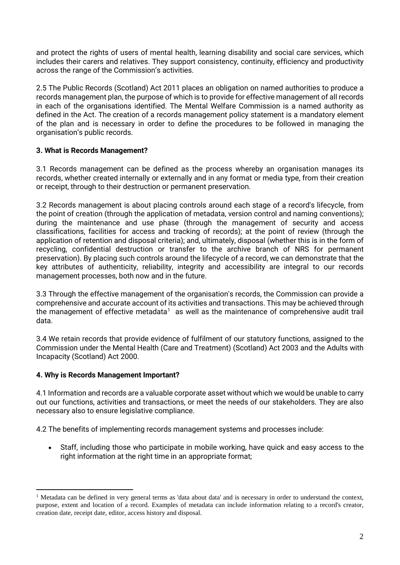and protect the rights of users of mental health, learning disability and social care services, which includes their carers and relatives. They support consistency, continuity, efficiency and productivity across the range of the Commission's activities.

2.5 The Public Records (Scotland) Act 2011 places an obligation on named authorities to produce a records management plan, the purpose of which is to provide for effective management of all records in each of the organisations identified. The Mental Welfare Commission is a named authority as defined in the Act. The creation of a records management policy statement is a mandatory element of the plan and is necessary in order to define the procedures to be followed in managing the organisation's public records.

# **3. What is Records Management?**

3.1 Records management can be defined as the process whereby an organisation manages its records, whether created internally or externally and in any format or media type, from their creation or receipt, through to their destruction or permanent preservation.

3.2 Records management is about placing controls around each stage of a record's lifecycle, from the point of creation (through the application of metadata, version control and naming conventions); during the maintenance and use phase (through the management of security and access classifications, facilities for access and tracking of records); at the point of review (through the application of retention and disposal criteria); and, ultimately, disposal (whether this is in the form of recycling, confidential destruction or transfer to the archive branch of NRS for permanent preservation). By placing such controls around the lifecycle of a record, we can demonstrate that the key attributes of authenticity, reliability, integrity and accessibility are integral to our records management processes, both now and in the future.

3.3 Through the effective management of the organisation's records, the Commission can provide a comprehensive and accurate account of its activities and transactions. This may be achieved through the management of effective metadata<sup>1</sup> as well as the maintenance of comprehensive audit trail data.

3.4 We retain records that provide evidence of fulfilment of our statutory functions, assigned to the Commission under the Mental Health (Care and Treatment) (Scotland) Act 2003 and the Adults with Incapacity (Scotland) Act 2000.

## **4. Why is Records Management Important?**

4.1 Information and records are a valuable corporate asset without which we would be unable to carry out our functions, activities and transactions, or meet the needs of our stakeholders. They are also necessary also to ensure legislative compliance.

4.2 The benefits of implementing records management systems and processes include:

• Staff, including those who participate in mobile working, have quick and easy access to the right information at the right time in an appropriate format;

<span id="page-1-0"></span><sup>&</sup>lt;sup>1</sup> Metadata can be defined in very general terms as 'data about data' and is necessary in order to understand the context. purpose, extent and location of a record. Examples of metadata can include information relating to a record's creator, creation date, receipt date, editor, access history and disposal.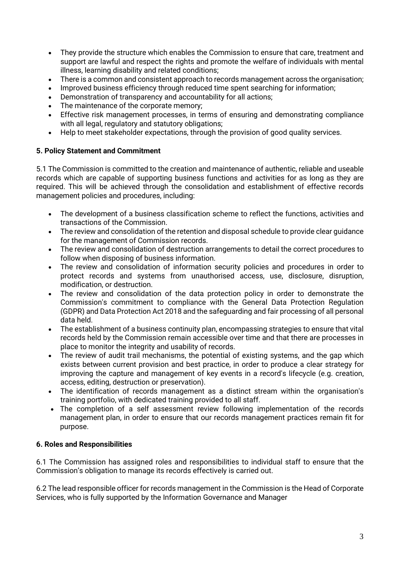- They provide the structure which enables the Commission to ensure that care, treatment and support are lawful and respect the rights and promote the welfare of individuals with mental illness, learning disability and related conditions;
- There is a common and consistent approach to records management across the organisation;
- Improved business efficiency through reduced time spent searching for information;
- Demonstration of transparency and accountability for all actions;
- The maintenance of the corporate memory;
- Effective risk management processes, in terms of ensuring and demonstrating compliance with all legal, regulatory and statutory obligations;
- Help to meet stakeholder expectations, through the provision of good quality services.

# **5. Policy Statement and Commitment**

5.1 The Commission is committed to the creation and maintenance of authentic, reliable and useable records which are capable of supporting business functions and activities for as long as they are required. This will be achieved through the consolidation and establishment of effective records management policies and procedures, including:

- The development of a business classification scheme to reflect the functions, activities and transactions of the Commission.
- The review and consolidation of the retention and disposal schedule to provide clear guidance for the management of Commission records.
- The review and consolidation of destruction arrangements to detail the correct procedures to follow when disposing of business information.
- The review and consolidation of information security policies and procedures in order to protect records and systems from unauthorised access, use, disclosure, disruption, modification, or destruction.
- The review and consolidation of the data protection policy in order to demonstrate the Commission's commitment to compliance with the General Data Protection Regulation (GDPR) and Data Protection Act 2018 and the safeguarding and fair processing of all personal data held.
- The establishment of a business continuity plan, encompassing strategies to ensure that vital records held by the Commission remain accessible over time and that there are processes in place to monitor the integrity and usability of records.
- The review of audit trail mechanisms, the potential of existing systems, and the gap which exists between current provision and best practice, in order to produce a clear strategy for improving the capture and management of key events in a record's lifecycle (e.g. creation, access, editing, destruction or preservation).
- The identification of records management as a distinct stream within the organisation's training portfolio, with dedicated training provided to all staff.
- The completion of a self assessment review following implementation of the records management plan, in order to ensure that our records management practices remain fit for purpose.

## **6. Roles and Responsibilities**

6.1 The Commission has assigned roles and responsibilities to individual staff to ensure that the Commission's obligation to manage its records effectively is carried out.

6.2 The lead responsible officer for records management in the Commission is the Head of Corporate Services, who is fully supported by the Information Governance and Manager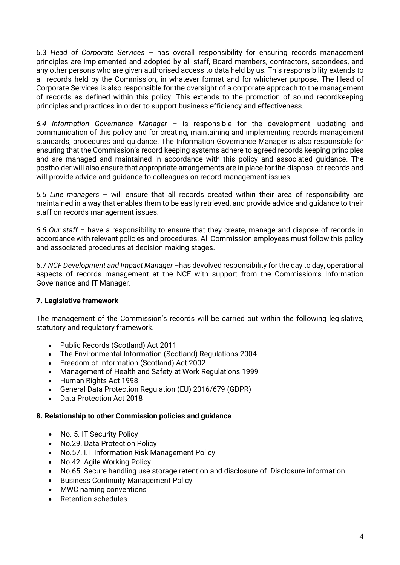6.3 *Head of Corporate Services* – has overall responsibility for ensuring records management principles are implemented and adopted by all staff, Board members, contractors, secondees, and any other persons who are given authorised access to data held by us. This responsibility extends to all records held by the Commission, in whatever format and for whichever purpose. The Head of Corporate Services is also responsible for the oversight of a corporate approach to the management of records as defined within this policy. This extends to the promotion of sound recordkeeping principles and practices in order to support business efficiency and effectiveness.

*6.4 Information Governance Manager* – is responsible for the development, updating and communication of this policy and for creating, maintaining and implementing records management standards, procedures and guidance. The Information Governance Manager is also responsible for ensuring that the Commission's record keeping systems adhere to agreed records keeping principles and are managed and maintained in accordance with this policy and associated guidance. The postholder will also ensure that appropriate arrangements are in place for the disposal of records and will provide advice and guidance to colleagues on record management issues.

*6.5 Line managers* – will ensure that all records created within their area of responsibility are maintained in a way that enables them to be easily retrieved, and provide advice and guidance to their staff on records management issues.

*6.6 Our staff* – have a responsibility to ensure that they create, manage and dispose of records in accordance with relevant policies and procedures. All Commission employees must follow this policy and associated procedures at decision making stages.

6.7 *NCF Development and Impact Manager –*has devolved responsibility for the day to day, operational aspects of records management at the NCF with support from the Commission's Information Governance and IT Manager.

## **7. Legislative framework**

The management of the Commission's records will be carried out within the following legislative, statutory and regulatory framework.

- Public Records (Scotland) Act 2011
- The Environmental Information (Scotland) Regulations 2004
- Freedom of Information (Scotland) Act 2002
- Management of Health and Safety at Work Regulations 1999
- Human Rights Act 1998
- General Data Protection Regulation (EU) 2016/679 (GDPR)
- Data Protection Act 2018

## **8. Relationship to other Commission policies and guidance**

- No. 5. IT Security Policy
- No.29. Data Protection Policy
- No.57. I.T Information Risk Management Policy
- No.42. Agile Working Policy
- No.65. Secure handling use storage retention and disclosure of Disclosure information
- Business Continuity Management Policy
- MWC naming conventions
- Retention schedules